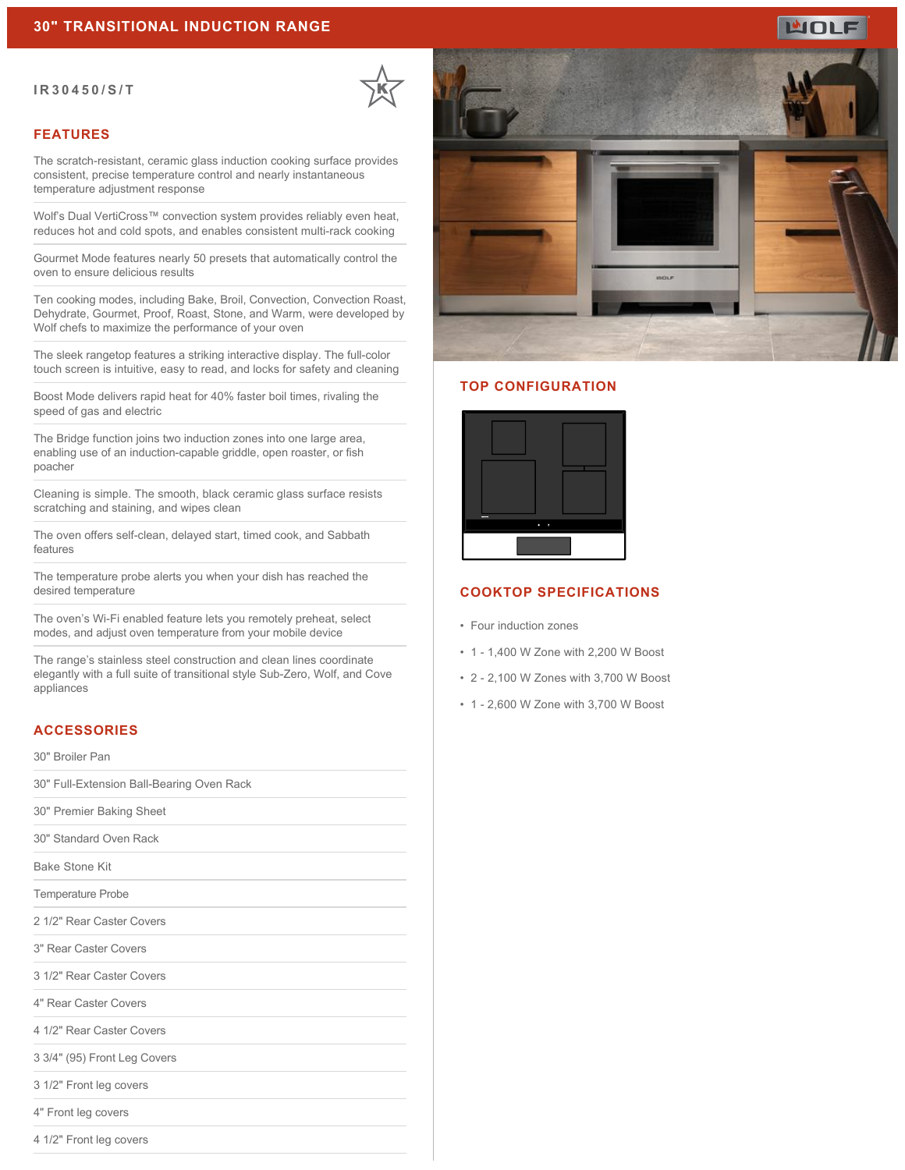#### **IR30450/S/T**

# **FEATURES**

The scratch-resistant, ceramic glass induction cooking surface provides consistent, precise temperature control and nearly instantaneous temperature adjustment response

Wolf's Dual VertiCross™ convection system provides reliably even heat, reduces hot and cold spots, and enables consistent multi-rack cooking

Gourmet Mode features nearly 50 presets that automatically control the oven to ensure delicious results

Ten cooking modes, including Bake, Broil, Convection, Convection Roast, Dehydrate, Gourmet, Proof, Roast, Stone, and Warm, were developed by Wolf chefs to maximize the performance of your oven

The sleek rangetop features a striking interactive display. The full-color touch screen is intuitive, easy to read, and locks for safety and cleaning

Boost Mode delivers rapid heat for 40% faster boil times, rivaling the speed of gas and electric

The Bridge function joins two induction zones into one large area, enabling use of an induction-capable griddle, open roaster, or fish poacher

Cleaning is simple. The smooth, black ceramic glass surface resists scratching and staining, and wipes clean

The oven offers self-clean, delayed start, timed cook, and Sabbath features

The temperature probe alerts you when your dish has reached the desired temperature

The oven's Wi-Fi enabled feature lets you remotely preheat, select modes, and adjust oven temperature from your mobile device

The range's stainless steel construction and clean lines coordinate elegantly with a full suite of transitional style Sub-Zero, Wolf, and Cove appliances

#### **ACCESSORIES**

30" Broiler Pan

30" Full-Extension Ball-Bearing Oven Rack

30" Premier Baking Sheet

30" Standard Oven Rack

Bake Stone Kit

Temperature Probe

2 1/2" Rear Caster Covers

3" Rear Caster Covers

3 1/2" Rear Caster Covers

4" Rear Caster Covers

4 1/2" Rear Caster Covers

3 3/4" (95) Front Leg Covers

3 1/2" Front leg covers

4" Front leg covers

4 1/2" Front leg covers



#### **TOP CONFIGURATION**



# **COOKTOP SPECIFICATIONS**

- Four induction zones
- 1 1,400 W Zone with 2,200 W Boost
- 2 2,100 W Zones with 3,700 W Boost
- 1 2,600 W Zone with 3,700 W Boost

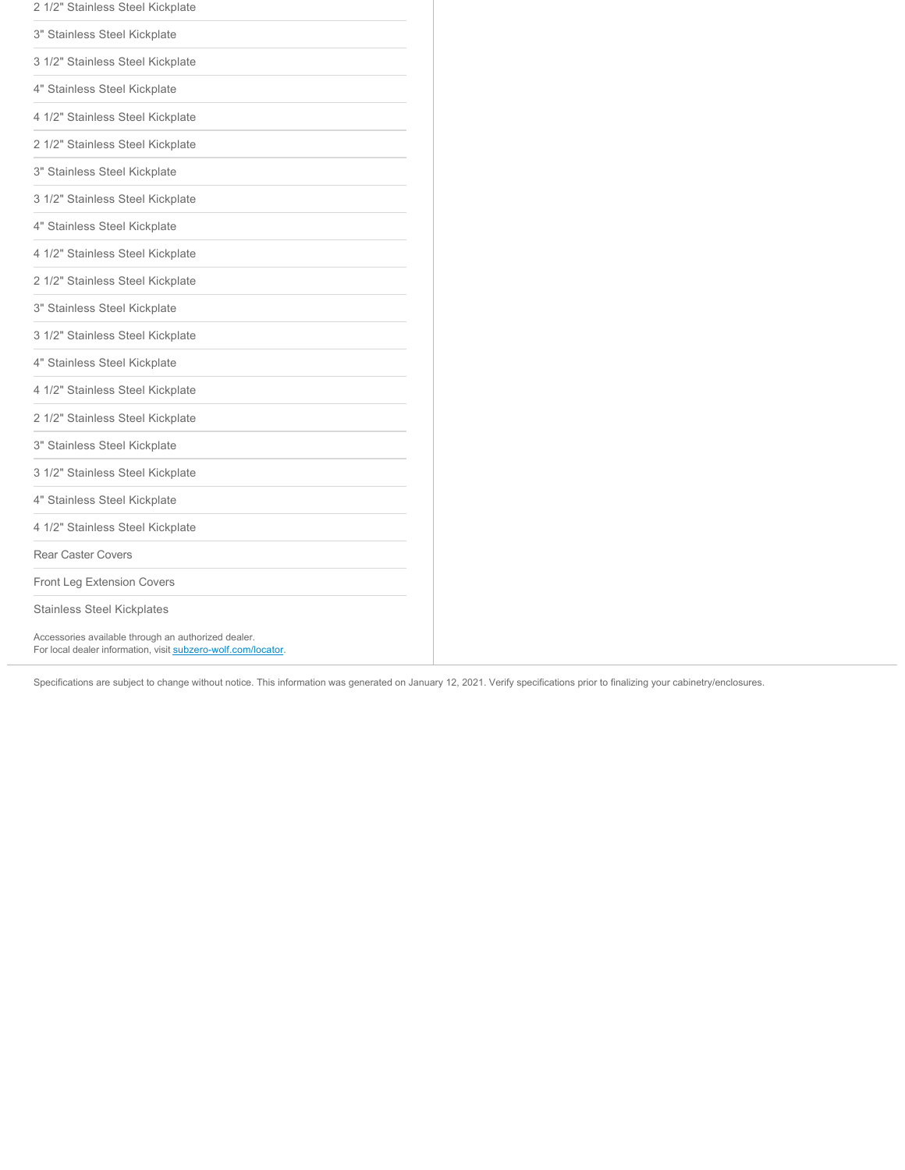| 2 1/2" Stainless Steel Kickplate                    |
|-----------------------------------------------------|
| 3" Stainless Steel Kickplate                        |
| 3 1/2" Stainless Steel Kickplate                    |
| 4" Stainless Steel Kickplate                        |
| 4 1/2" Stainless Steel Kickplate                    |
| 2 1/2" Stainless Steel Kickplate                    |
| 3" Stainless Steel Kickplate                        |
| 3 1/2" Stainless Steel Kickplate                    |
| 4" Stainless Steel Kickplate                        |
| 4 1/2" Stainless Steel Kickplate                    |
| 2 1/2" Stainless Steel Kickplate                    |
| 3" Stainless Steel Kickplate                        |
| 3 1/2" Stainless Steel Kickplate                    |
| 4" Stainless Steel Kickplate                        |
| 4 1/2" Stainless Steel Kickplate                    |
| 2 1/2" Stainless Steel Kickplate                    |
| 3" Stainless Steel Kickplate                        |
| 3 1/2" Stainless Steel Kickplate                    |
| 4" Stainless Steel Kickplate                        |
| 4 1/2" Stainless Steel Kickplate                    |
| <b>Rear Caster Covers</b>                           |
| <b>Front Leg Extension Covers</b>                   |
| <b>Stainless Steel Kickplates</b>                   |
| Accessories available through an authorized dealer. |

For local dealer information, visit [subzero-wolf.com/locator.](http://www.subzero-wolf.com/locator)

Specifications are subject to change without notice. This information was generated on January 12, 2021. Verify specifications prior to finalizing your cabinetry/enclosures.